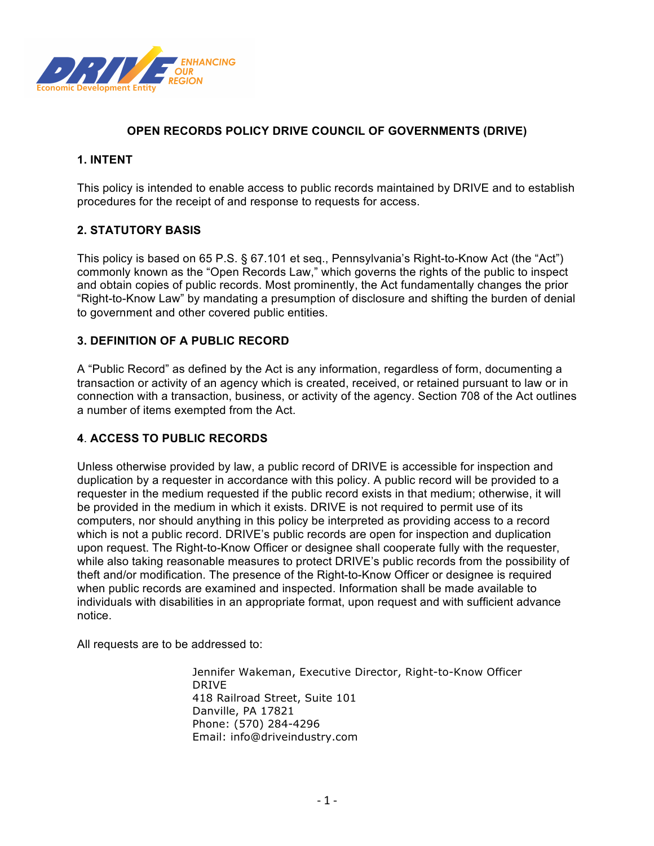

# **OPEN RECORDS POLICY DRIVE COUNCIL OF GOVERNMENTS (DRIVE)**

### **1. INTENT**

This policy is intended to enable access to public records maintained by DRIVE and to establish procedures for the receipt of and response to requests for access.

#### **2. STATUTORY BASIS**

This policy is based on 65 P.S. § 67.101 et seq., Pennsylvania's Right-to-Know Act (the "Act") commonly known as the "Open Records Law," which governs the rights of the public to inspect and obtain copies of public records. Most prominently, the Act fundamentally changes the prior "Right-to-Know Law" by mandating a presumption of disclosure and shifting the burden of denial to government and other covered public entities.

#### **3. DEFINITION OF A PUBLIC RECORD**

A "Public Record" as defined by the Act is any information, regardless of form, documenting a transaction or activity of an agency which is created, received, or retained pursuant to law or in connection with a transaction, business, or activity of the agency. Section 708 of the Act outlines a number of items exempted from the Act.

### **4**. **ACCESS TO PUBLIC RECORDS**

Unless otherwise provided by law, a public record of DRIVE is accessible for inspection and duplication by a requester in accordance with this policy. A public record will be provided to a requester in the medium requested if the public record exists in that medium; otherwise, it will be provided in the medium in which it exists. DRIVE is not required to permit use of its computers, nor should anything in this policy be interpreted as providing access to a record which is not a public record. DRIVE's public records are open for inspection and duplication upon request. The Right-to-Know Officer or designee shall cooperate fully with the requester, while also taking reasonable measures to protect DRIVE's public records from the possibility of theft and/or modification. The presence of the Right-to-Know Officer or designee is required when public records are examined and inspected. Information shall be made available to individuals with disabilities in an appropriate format, upon request and with sufficient advance notice.

All requests are to be addressed to:

Jennifer Wakeman, Executive Director, Right-to-Know Officer DRIVE 418 Railroad Street, Suite 101 Danville, PA 17821 Phone: (570) 284-4296 Email: info@driveindustry.com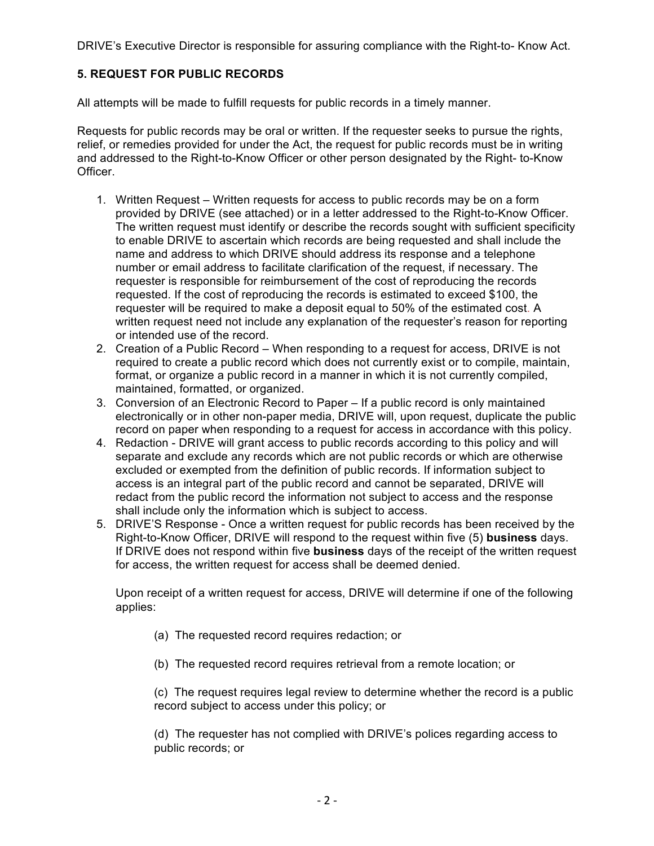DRIVE's Executive Director is responsible for assuring compliance with the Right-to- Know Act.

# **5. REQUEST FOR PUBLIC RECORDS**

All attempts will be made to fulfill requests for public records in a timely manner.

Requests for public records may be oral or written. If the requester seeks to pursue the rights, relief, or remedies provided for under the Act, the request for public records must be in writing and addressed to the Right-to-Know Officer or other person designated by the Right- to-Know Officer.

- 1. Written Request Written requests for access to public records may be on a form provided by DRIVE (see attached) or in a letter addressed to the Right-to-Know Officer. The written request must identify or describe the records sought with sufficient specificity to enable DRIVE to ascertain which records are being requested and shall include the name and address to which DRIVE should address its response and a telephone number or email address to facilitate clarification of the request, if necessary. The requester is responsible for reimbursement of the cost of reproducing the records requested. If the cost of reproducing the records is estimated to exceed \$100, the requester will be required to make a deposit equal to 50% of the estimated cost. A written request need not include any explanation of the requester's reason for reporting or intended use of the record.
- 2. Creation of a Public Record When responding to a request for access, DRIVE is not required to create a public record which does not currently exist or to compile, maintain, format, or organize a public record in a manner in which it is not currently compiled, maintained, formatted, or organized.
- 3. Conversion of an Electronic Record to Paper If a public record is only maintained electronically or in other non-paper media, DRIVE will, upon request, duplicate the public record on paper when responding to a request for access in accordance with this policy.
- 4. Redaction DRIVE will grant access to public records according to this policy and will separate and exclude any records which are not public records or which are otherwise excluded or exempted from the definition of public records. If information subject to access is an integral part of the public record and cannot be separated, DRIVE will redact from the public record the information not subject to access and the response shall include only the information which is subject to access.
- 5. DRIVE'S Response Once a written request for public records has been received by the Right-to-Know Officer, DRIVE will respond to the request within five (5) **business** days. If DRIVE does not respond within five **business** days of the receipt of the written request for access, the written request for access shall be deemed denied.

Upon receipt of a written request for access, DRIVE will determine if one of the following applies:

- (a) The requested record requires redaction; or
- (b) The requested record requires retrieval from a remote location; or

(c) The request requires legal review to determine whether the record is a public record subject to access under this policy; or

(d) The requester has not complied with DRIVE's polices regarding access to public records; or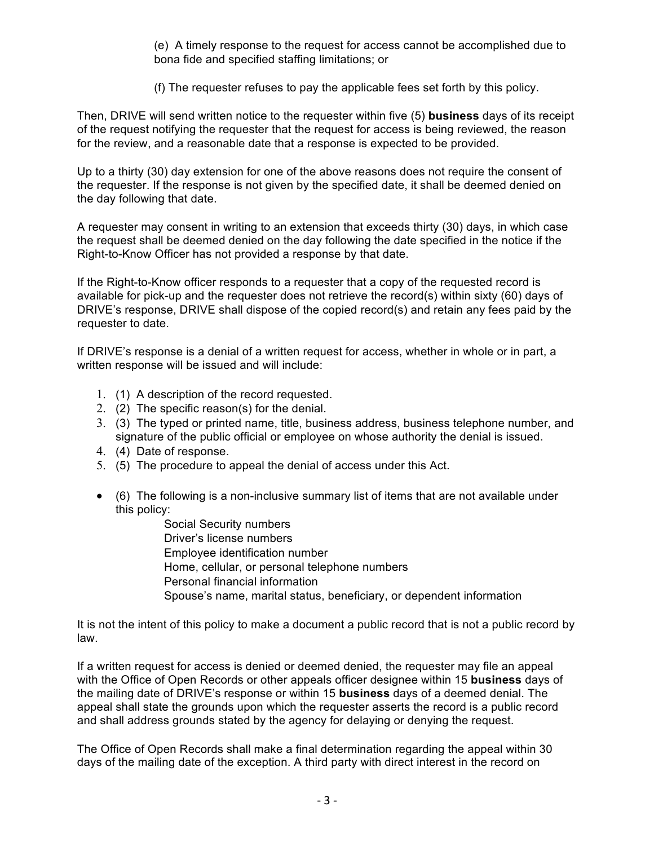(e) A timely response to the request for access cannot be accomplished due to bona fide and specified staffing limitations; or

(f) The requester refuses to pay the applicable fees set forth by this policy.

Then, DRIVE will send written notice to the requester within five (5) **business** days of its receipt of the request notifying the requester that the request for access is being reviewed, the reason for the review, and a reasonable date that a response is expected to be provided.

Up to a thirty (30) day extension for one of the above reasons does not require the consent of the requester. If the response is not given by the specified date, it shall be deemed denied on the day following that date.

A requester may consent in writing to an extension that exceeds thirty (30) days, in which case the request shall be deemed denied on the day following the date specified in the notice if the Right-to-Know Officer has not provided a response by that date.

If the Right-to-Know officer responds to a requester that a copy of the requested record is available for pick-up and the requester does not retrieve the record(s) within sixty (60) days of DRIVE's response, DRIVE shall dispose of the copied record(s) and retain any fees paid by the requester to date.

If DRIVE's response is a denial of a written request for access, whether in whole or in part, a written response will be issued and will include:

- 1. (1) A description of the record requested.
- 2. (2) The specific reason(s) for the denial.
- 3. (3) The typed or printed name, title, business address, business telephone number, and signature of the public official or employee on whose authority the denial is issued.
- 4. (4) Date of response.
- 5. (5) The procedure to appeal the denial of access under this Act.
- (6) The following is a non-inclusive summary list of items that are not available under this policy:

 Social Security numbers Driver's license numbers Employee identification number Home, cellular, or personal telephone numbers Personal financial information Spouse's name, marital status, beneficiary, or dependent information

It is not the intent of this policy to make a document a public record that is not a public record by law.

If a written request for access is denied or deemed denied, the requester may file an appeal with the Office of Open Records or other appeals officer designee within 15 **business** days of the mailing date of DRIVE's response or within 15 **business** days of a deemed denial. The appeal shall state the grounds upon which the requester asserts the record is a public record and shall address grounds stated by the agency for delaying or denying the request.

The Office of Open Records shall make a final determination regarding the appeal within 30 days of the mailing date of the exception. A third party with direct interest in the record on